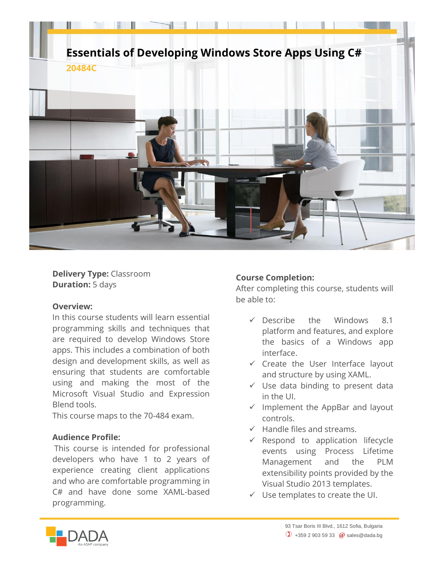

**Delivery Type:** Classroom **Duration:** 5 days

## **Overview:**

In this course students will learn essential programming skills and techniques that are required to develop Windows Store apps. This includes a combination of both design and development skills, as well as ensuring that students are comfortable using and making the most of the Microsoft Visual Studio and Expression Blend tools.

This course maps to the 70-484 exam.

## **Audience Profile:**

This course is intended for professional developers who have 1 to 2 years of experience creating client applications and who are comfortable programming in C# and have done some XAML-based programming.

## **Course Completion:**

After completing this course, students will be able to:

- $\sqrt{}$  Describe the Windows 8.1 platform and features, and explore the basics of a Windows app interface.
- $\checkmark$  Create the User Interface layout and structure by using XAML.
- $\checkmark$  Use data binding to present data in the UI.
- $\checkmark$  Implement the AppBar and layout controls.
- $\checkmark$  Handle files and streams.
- $\checkmark$  Respond to application lifecycle events using Process Lifetime Management and the PLM extensibility points provided by the Visual Studio 2013 templates.
- $\checkmark$  Use templates to create the UI.